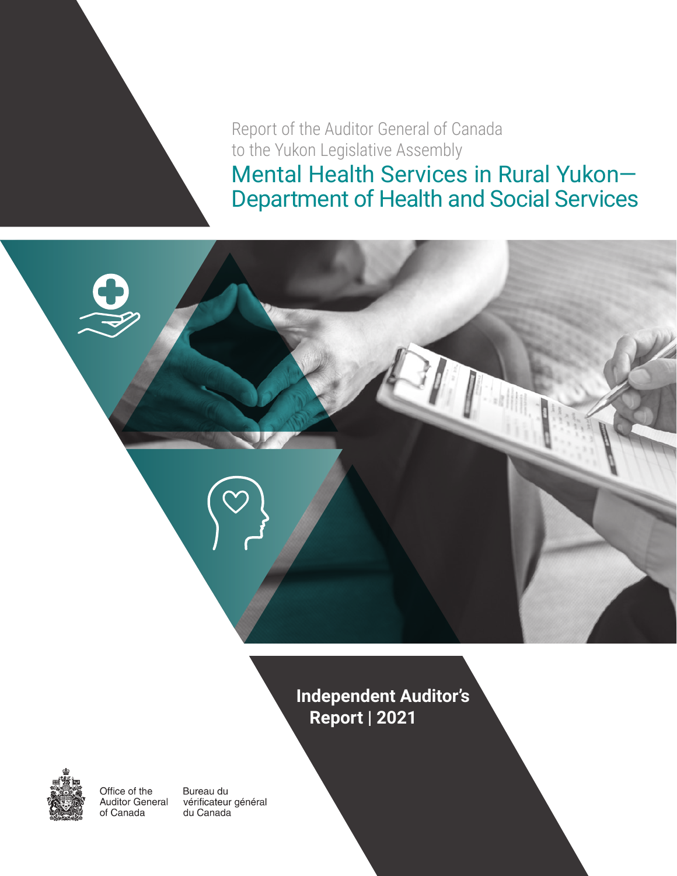Report of the Auditor General of Canada to the Yukon Legislative Assembly Mental Health Services in Rural Yukon— Department of Health and Social Services

> **Independent Auditor's Report | 2021**



Office of the Auditor General of Canada

Bureau du vérificateur général du Canada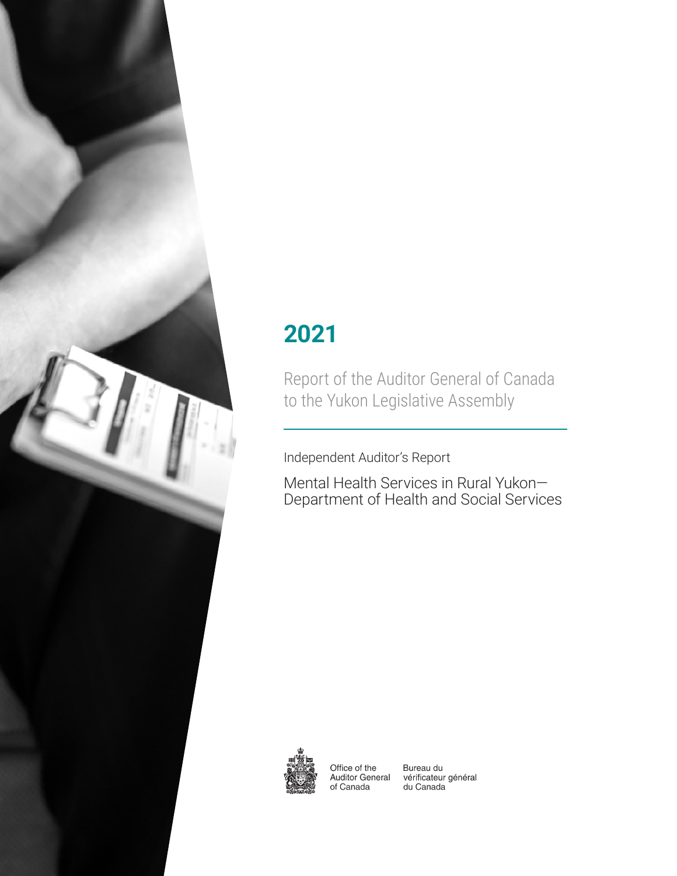

# **2021**

Report of the Auditor General of Canada to the Yukon Legislative Assembly

Independent Auditor's Report

Mental Health Services in Rural Yukon— Department of Health and Social Services



Office of the **Auditor General** of Canada

Bureau du vérificateur général du Canada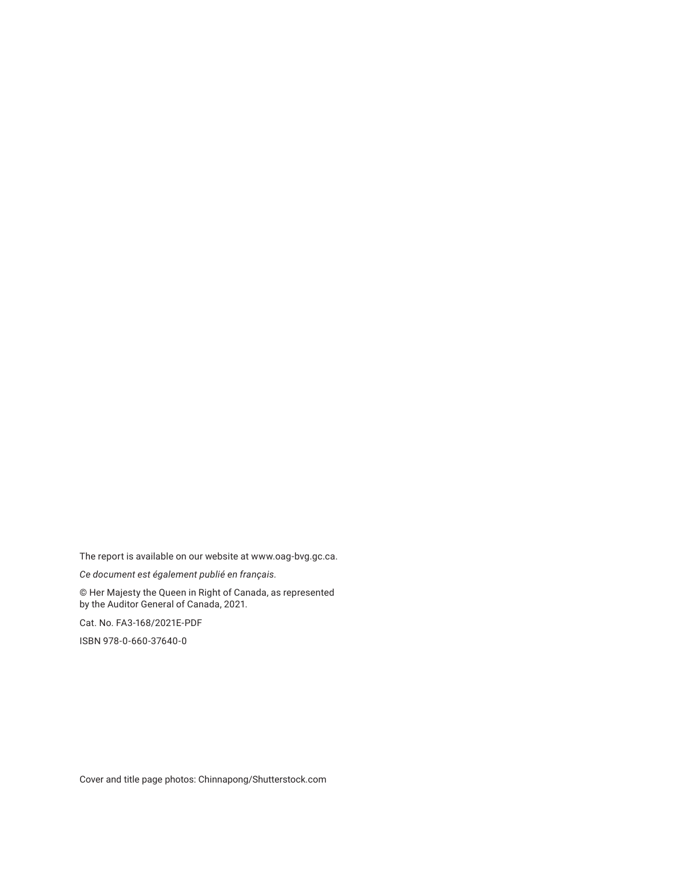The report is available on our website at www.oag-bvg.gc.ca.

*Ce document est également publié en français.*

© Her Majesty the Queen in Right of Canada, as represented by the Auditor General of Canada, 2021.

Cat. No. FA3-168/2021E-PDF

ISBN 978-0-660-37640-0

Cover and title page photos: Chinnapong/Shutterstock.com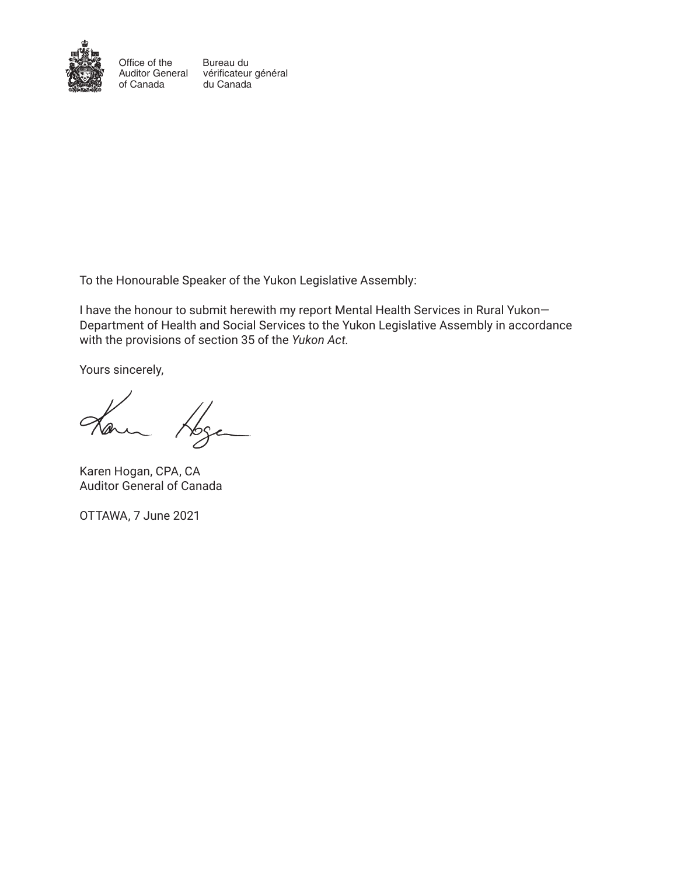

Office of the of Canada

Auditor General vérificateur général Bureau du du Canada

To the Honourable Speaker of the Yukon Legislative Assembly:

I have the honour to submit herewith my report Mental Health Services in Rural Yukon— Department of Health and Social Services to the Yukon Legislative Assembly in accordance with the provisions of section 35 of the *Yukon Act.*

Yours sincerely,

Karen Hogan, CPA, CA Auditor General of Canada

OTTAWA, 7 June 2021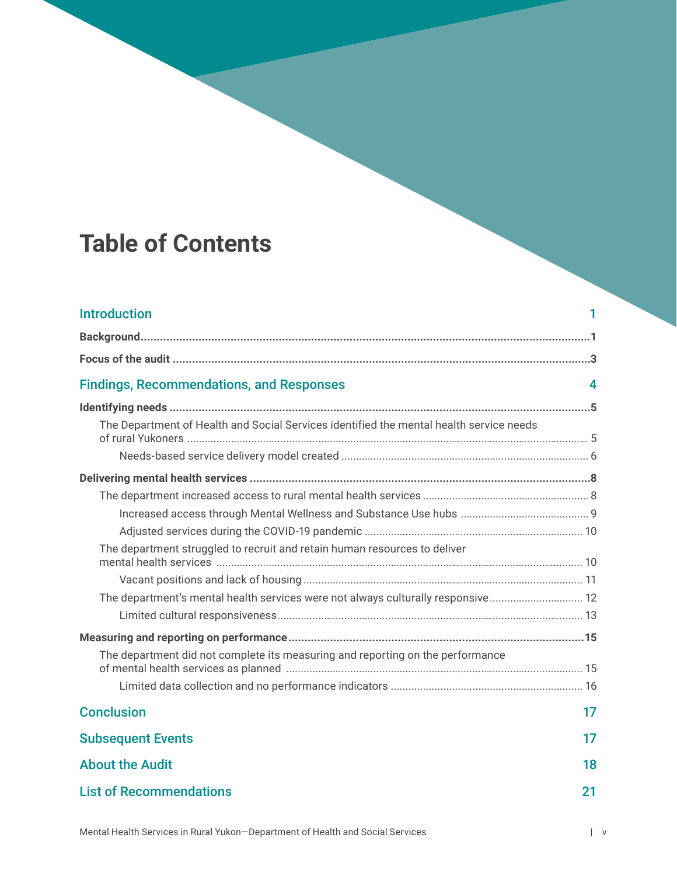# **Table of Contents**

| <b>Introduction</b>                                                                     |    |
|-----------------------------------------------------------------------------------------|----|
|                                                                                         |    |
|                                                                                         |    |
| <b>Findings, Recommendations, and Responses</b>                                         | 4  |
|                                                                                         |    |
| The Department of Health and Social Services identified the mental health service needs |    |
|                                                                                         |    |
|                                                                                         |    |
|                                                                                         |    |
|                                                                                         |    |
|                                                                                         |    |
| The department struggled to recruit and retain human resources to deliver               |    |
|                                                                                         |    |
| The department's mental health services were not always culturally responsive 12        |    |
|                                                                                         |    |
|                                                                                         |    |
| The department did not complete its measuring and reporting on the performance          |    |
|                                                                                         |    |
| <b>Conclusion</b>                                                                       | 17 |
| <b>Subsequent Events</b>                                                                | 17 |
| <b>About the Audit</b>                                                                  | 18 |
| <b>List of Recommendations</b>                                                          | 21 |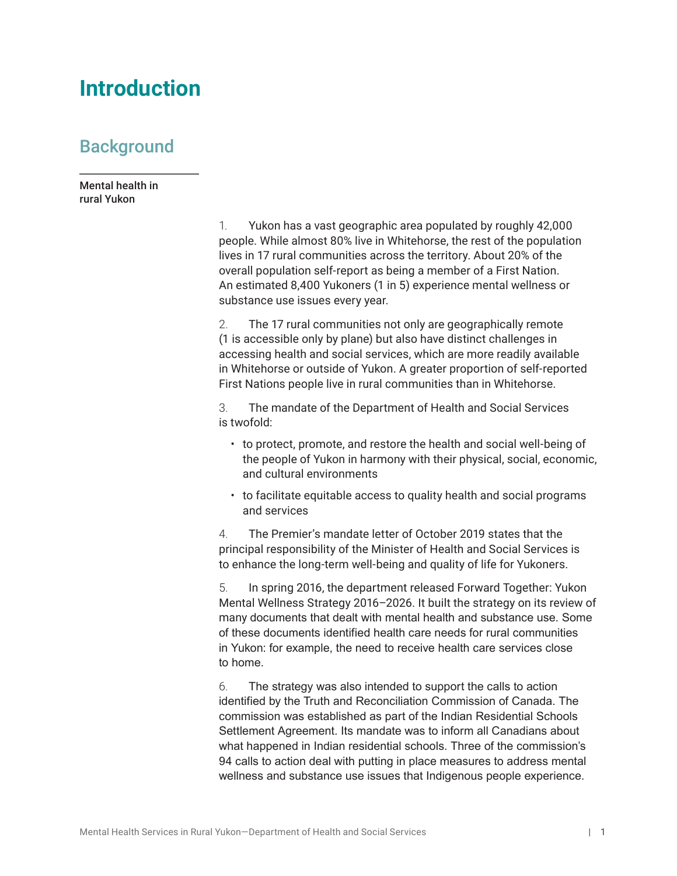## <span id="page-8-0"></span>**Introduction**

## **Background**

Mental health in rural Yukon

> 1. Yukon has a vast geographic area populated by roughly 42,000 people. While almost 80% live in Whitehorse, the rest of the population lives in 17 rural communities across the territory. About 20% of the overall population self-report as being a member of a First Nation. An estimated 8,400 Yukoners (1 in 5) experience mental wellness or substance use issues every year.

2. The 17 rural communities not only are geographically remote (1 is accessible only by plane) but also have distinct challenges in accessing health and social services, which are more readily available in Whitehorse or outside of Yukon. A greater proportion of self-reported First Nations people live in rural communities than in Whitehorse.

3. The mandate of the Department of Health and Social Services is twofold:

- to protect, promote, and restore the health and social well-being of the people of Yukon in harmony with their physical, social, economic, and cultural environments
- to facilitate equitable access to quality health and social programs and services

4. The Premier's mandate letter of October 2019 states that the principal responsibility of the Minister of Health and Social Services is to enhance the long-term well-being and quality of life for Yukoners.

5. In spring 2016, the department released Forward Together: Yukon Mental Wellness Strategy 2016–2026. It built the strategy on its review of many documents that dealt with mental health and substance use. Some of these documents identified health care needs for rural communities in Yukon: for example, the need to receive health care services close to home.

6. The strategy was also intended to support the calls to action identified by the Truth and Reconciliation Commission of Canada. The commission was established as part of the Indian Residential Schools Settlement Agreement. Its mandate was to inform all Canadians about what happened in Indian residential schools. Three of the commission's 94 calls to action deal with putting in place measures to address mental wellness and substance use issues that Indigenous people experience.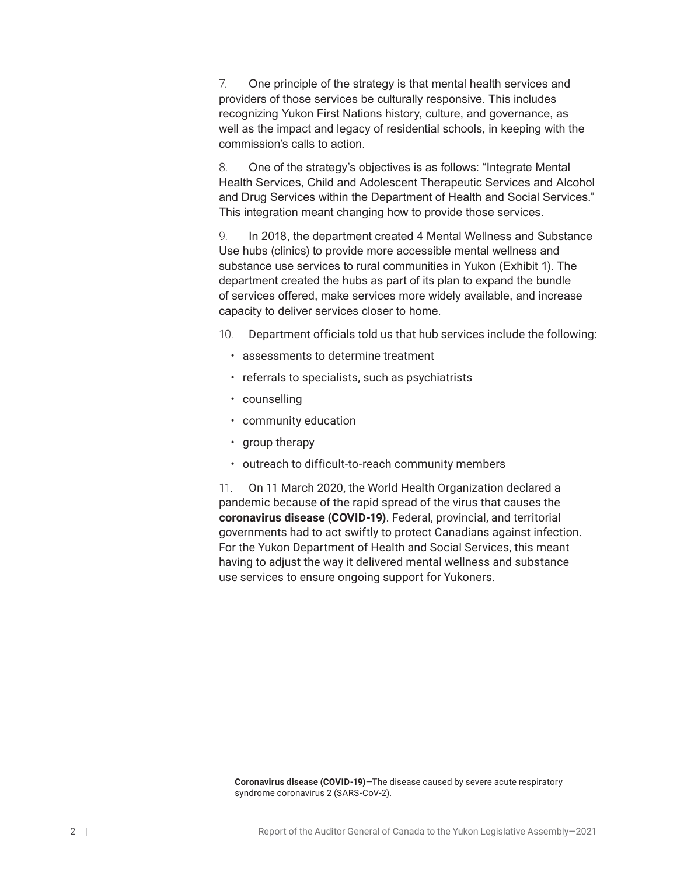7. One principle of the strategy is that mental health services and providers of those services be culturally responsive. This includes recognizing Yukon First Nations history, culture, and governance, as well as the impact and legacy of residential schools, in keeping with the commission's calls to action.

8. One of the strategy's objectives is as follows: "Integrate Mental Health Services, Child and Adolescent Therapeutic Services and Alcohol and Drug Services within the Department of Health and Social Services." This integration meant changing how to provide those services.

9. In 2018, the department created 4 Mental Wellness and Substance Use hubs (clinics) to provide more accessible mental wellness and substance use services to rural communities in Yukon (Exhibit 1). The department created the hubs as part of its plan to expand the bundle of services offered, make services more widely available, and increase capacity to deliver services closer to home.

- 10. Department officials told us that hub services include the following:
	- assessments to determine treatment
	- referrals to specialists, such as psychiatrists
	- counselling
	- community education
	- group therapy
	- outreach to difficult-to-reach community members

11. On 11 March 2020, the World Health Organization declared a pandemic because of the rapid spread of the virus that causes the 1 **coronavirus disease (COVID-19)**. Federal, provincial, and territorial governments had to act swiftly to protect Canadians against infection. For the Yukon Department of Health and Social Services, this meant having to adjust the way it delivered mental wellness and substance use services to ensure ongoing support for Yukoners.

**Coronavirus disease (COVID-19)**—The disease caused by severe acute respiratory syndrome coronavirus 2 (SARS-CoV-2).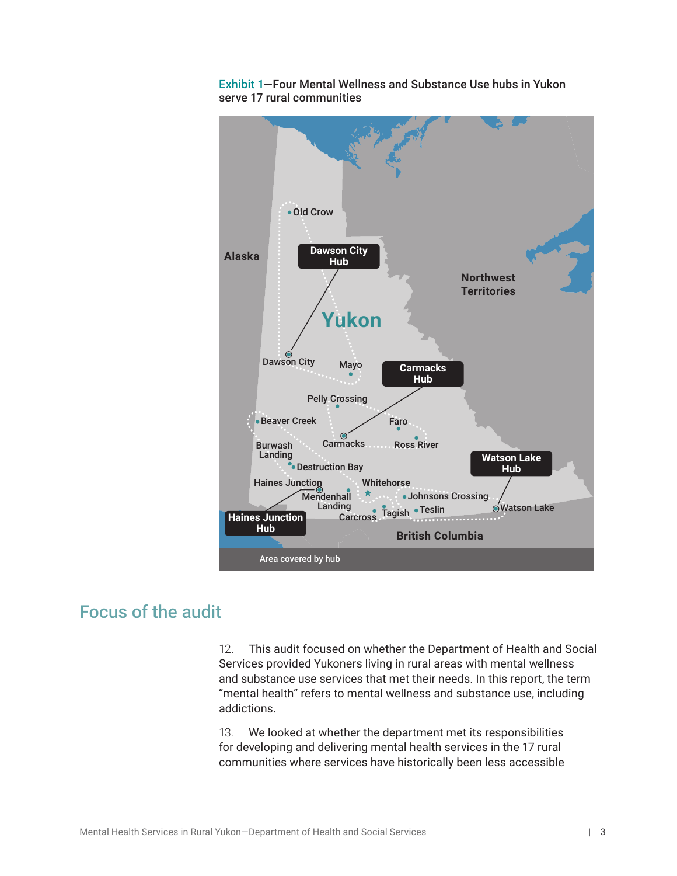

<span id="page-10-0"></span>

## Focus of the audit

12. This audit focused on whether the Department of Health and Social Services provided Yukoners living in rural areas with mental wellness and substance use services that met their needs. In this report, the term "mental health" refers to mental wellness and substance use, including addictions.

13. We looked at whether the department met its responsibilities for developing and delivering mental health services in the 17 rural communities where services have historically been less accessible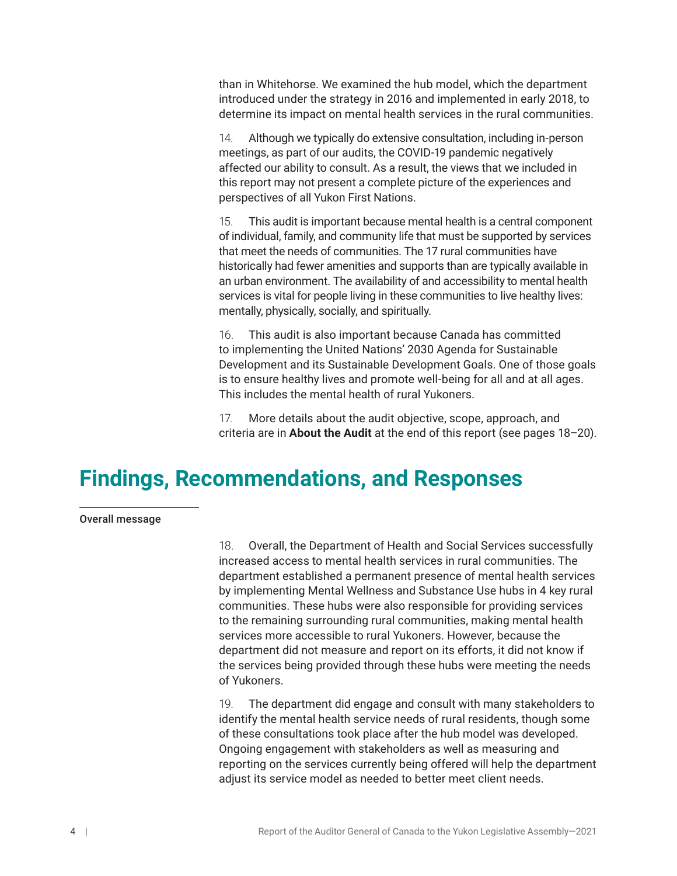<span id="page-11-0"></span>than in Whitehorse. We examined the hub model, which the department introduced under the strategy in 2016 and implemented in early 2018, to determine its impact on mental health services in the rural communities.

14. Although we typically do extensive consultation, including in-person meetings, as part of our audits, the COVID-19 pandemic negatively affected our ability to consult. As a result, the views that we included in this report may not present a complete picture of the experiences and perspectives of all Yukon First Nations.

15. This audit is important because mental health is a central component of individual, family, and community life that must be supported by services that meet the needs of communities. The 17 rural communities have historically had fewer amenities and supports than are typically available in an urban environment. The availability of and accessibility to mental health services is vital for people living in these communities to live healthy lives: mentally, physically, socially, and spiritually.

16. This audit is also important because Canada has committed to implementing the United Nations' 2030 Agenda for Sustainable Development and its Sustainable Development Goals. One of those goals is to ensure healthy lives and promote well-being for all and at all ages. This includes the mental health of rural Yukoners.

17. More details about the audit objective, scope, approach, and criteria are in **About the Audit** at the end of this report (see pages 18–20).

## **Findings, Recommendations, and Responses**

#### Overall message

18. Overall, the Department of Health and Social Services successfully increased access to mental health services in rural communities. The department established a permanent presence of mental health services by implementing Mental Wellness and Substance Use hubs in 4 key rural communities. These hubs were also responsible for providing services to the remaining surrounding rural communities, making mental health services more accessible to rural Yukoners. However, because the department did not measure and report on its efforts, it did not know if the services being provided through these hubs were meeting the needs of Yukoners.

19. The department did engage and consult with many stakeholders to identify the mental health service needs of rural residents, though some of these consultations took place after the hub model was developed. Ongoing engagement with stakeholders as well as measuring and reporting on the services currently being offered will help the department adjust its service model as needed to better meet client needs.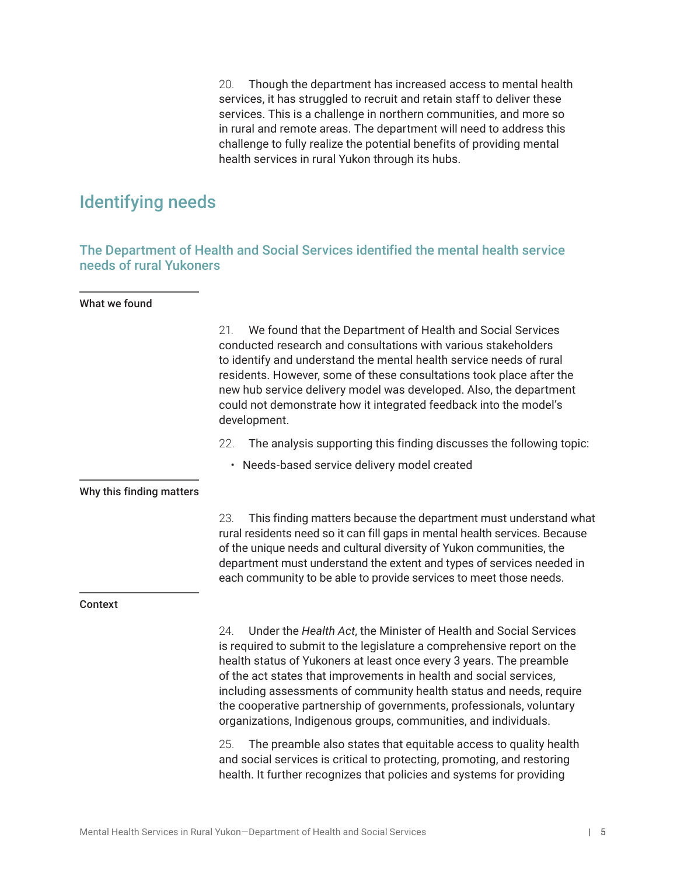20. Though the department has increased access to mental health services, it has struggled to recruit and retain staff to deliver these services. This is a challenge in northern communities, and more so in rural and remote areas. The department will need to address this challenge to fully realize the potential benefits of providing mental health services in rural Yukon through its hubs.

## <span id="page-12-0"></span>Identifying needs

The Department of Health and Social Services identified the mental health service needs of rural Yukoners

#### What we found

|                          | We found that the Department of Health and Social Services<br>21.<br>conducted research and consultations with various stakeholders<br>to identify and understand the mental health service needs of rural<br>residents. However, some of these consultations took place after the<br>new hub service delivery model was developed. Also, the department<br>could not demonstrate how it integrated feedback into the model's<br>development.                                                                    |  |
|--------------------------|------------------------------------------------------------------------------------------------------------------------------------------------------------------------------------------------------------------------------------------------------------------------------------------------------------------------------------------------------------------------------------------------------------------------------------------------------------------------------------------------------------------|--|
|                          | 22.<br>The analysis supporting this finding discusses the following topic:                                                                                                                                                                                                                                                                                                                                                                                                                                       |  |
|                          | • Needs-based service delivery model created                                                                                                                                                                                                                                                                                                                                                                                                                                                                     |  |
| Why this finding matters |                                                                                                                                                                                                                                                                                                                                                                                                                                                                                                                  |  |
|                          | This finding matters because the department must understand what<br>23.<br>rural residents need so it can fill gaps in mental health services. Because<br>of the unique needs and cultural diversity of Yukon communities, the<br>department must understand the extent and types of services needed in<br>each community to be able to provide services to meet those needs.                                                                                                                                    |  |
| <b>Context</b>           |                                                                                                                                                                                                                                                                                                                                                                                                                                                                                                                  |  |
|                          | Under the Health Act, the Minister of Health and Social Services<br>24.<br>is required to submit to the legislature a comprehensive report on the<br>health status of Yukoners at least once every 3 years. The preamble<br>of the act states that improvements in health and social services,<br>including assessments of community health status and needs, require<br>the cooperative partnership of governments, professionals, voluntary<br>organizations, Indigenous groups, communities, and individuals. |  |
|                          | 25.<br>The preamble also states that equitable access to quality health<br>and social services is critical to protecting, promoting, and restoring<br>health. It further recognizes that policies and systems for providing                                                                                                                                                                                                                                                                                      |  |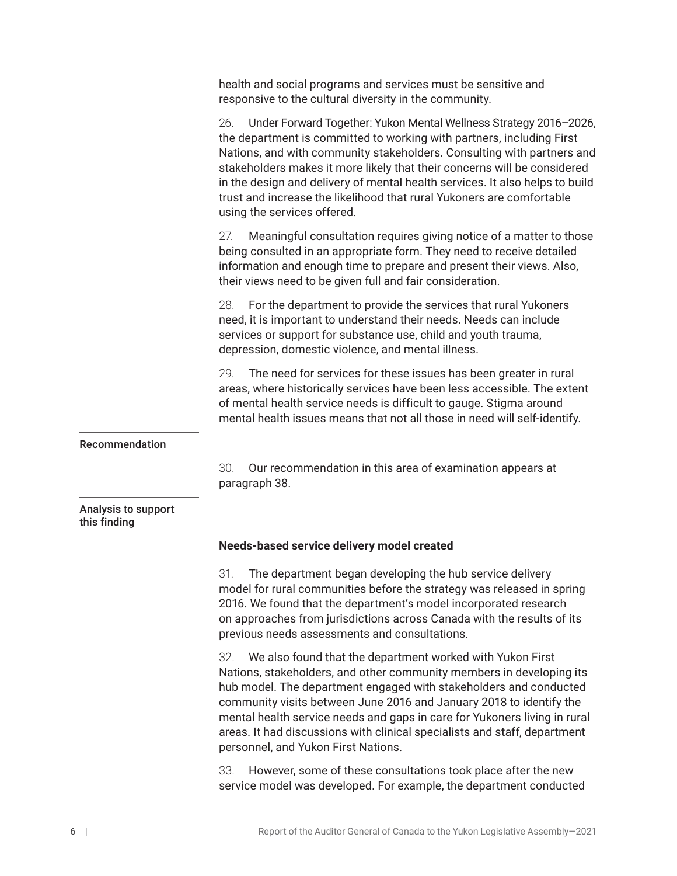<span id="page-13-0"></span>health and social programs and services must be sensitive and responsive to the cultural diversity in the community.

26. Under Forward Together: Yukon Mental Wellness Strategy 2016–2026, the department is committed to working with partners, including First Nations, and with community stakeholders. Consulting with partners and stakeholders makes it more likely that their concerns will be considered in the design and delivery of mental health services. It also helps to build trust and increase the likelihood that rural Yukoners are comfortable using the services offered.

27. Meaningful consultation requires giving notice of a matter to those being consulted in an appropriate form. They need to receive detailed information and enough time to prepare and present their views. Also, their views need to be given full and fair consideration.

28. For the department to provide the services that rural Yukoners need, it is important to understand their needs. Needs can include services or support for substance use, child and youth trauma, depression, domestic violence, and mental illness.

29. The need for services for these issues has been greater in rural areas, where historically services have been less accessible. The extent of mental health service needs is difficult to gauge. Stigma around mental health issues means that not all those in need will self-identify.

#### Recommendation

30. Our recommendation in this area of examination appears at paragraph 38.

#### Analysis to support this finding

#### **Needs-based service delivery model created**

31. The department began developing the hub service delivery model for rural communities before the strategy was released in spring 2016. We found that the department's model incorporated research on approaches from jurisdictions across Canada with the results of its previous needs assessments and consultations.

32. We also found that the department worked with Yukon First Nations, stakeholders, and other community members in developing its hub model. The department engaged with stakeholders and conducted community visits between June 2016 and January 2018 to identify the mental health service needs and gaps in care for Yukoners living in rural areas. It had discussions with clinical specialists and staff, department personnel, and Yukon First Nations.

33. However, some of these consultations took place after the new service model was developed. For example, the department conducted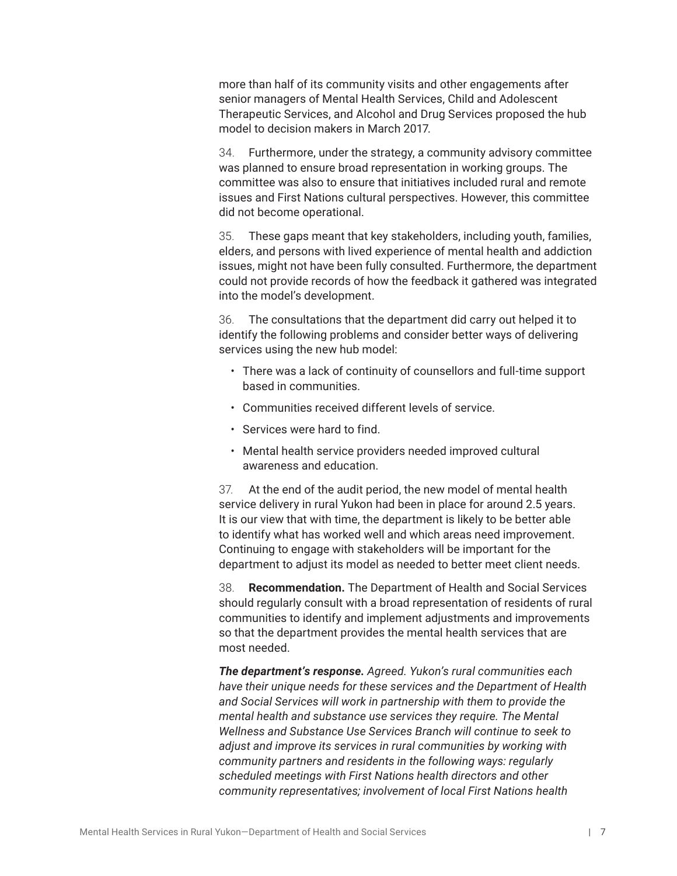more than half of its community visits and other engagements after senior managers of Mental Health Services, Child and Adolescent Therapeutic Services, and Alcohol and Drug Services proposed the hub model to decision makers in March 2017.

34. Furthermore, under the strategy, a community advisory committee was planned to ensure broad representation in working groups. The committee was also to ensure that initiatives included rural and remote issues and First Nations cultural perspectives. However, this committee did not become operational.

35. These gaps meant that key stakeholders, including youth, families, elders, and persons with lived experience of mental health and addiction issues, might not have been fully consulted. Furthermore, the department could not provide records of how the feedback it gathered was integrated into the model's development.

36. The consultations that the department did carry out helped it to identify the following problems and consider better ways of delivering services using the new hub model:

- There was a lack of continuity of counsellors and full-time support based in communities.
- Communities received different levels of service.
- Services were hard to find.
- Mental health service providers needed improved cultural awareness and education.

37. At the end of the audit period, the new model of mental health service delivery in rural Yukon had been in place for around 2.5 years. It is our view that with time, the department is likely to be better able to identify what has worked well and which areas need improvement. Continuing to engage with stakeholders will be important for the department to adjust its model as needed to better meet client needs.

38. **Recommendation.** The Department of Health and Social Services should regularly consult with a broad representation of residents of rural communities to identify and implement adjustments and improvements so that the department provides the mental health services that are most needed.

*The department's response. Agreed. Yukon's rural communities each have their unique needs for these services and the Department of Health and Social Services will work in partnership with them to provide the mental health and substance use services they require. The Mental Wellness and Substance Use Services Branch will continue to seek to adjust and improve its services in rural communities by working with community partners and residents in the following ways: regularly scheduled meetings with First Nations health directors and other community representatives; involvement of local First Nations health*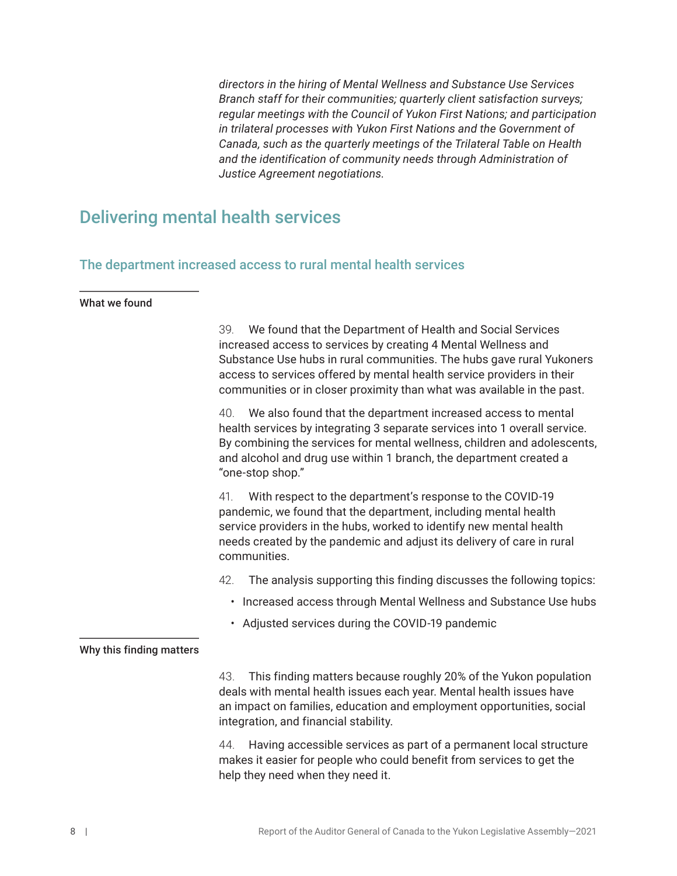*directors in the hiring of Mental Wellness and Substance Use Services Branch staff for their communities; quarterly client satisfaction surveys; regular meetings with the Council of Yukon First Nations; and participation in trilateral processes with Yukon First Nations and the Government of Canada, such as the quarterly meetings of the Trilateral Table on Health and the identification of community needs through Administration of Justice Agreement negotiations.* 

## <span id="page-15-0"></span>Delivering mental health services

## The department increased access to rural mental health services

### What we found

|                          | We found that the Department of Health and Social Services<br>39.<br>increased access to services by creating 4 Mental Wellness and<br>Substance Use hubs in rural communities. The hubs gave rural Yukoners<br>access to services offered by mental health service providers in their<br>communities or in closer proximity than what was available in the past. |  |
|--------------------------|-------------------------------------------------------------------------------------------------------------------------------------------------------------------------------------------------------------------------------------------------------------------------------------------------------------------------------------------------------------------|--|
|                          | We also found that the department increased access to mental<br>40.<br>health services by integrating 3 separate services into 1 overall service.<br>By combining the services for mental wellness, children and adolescents,<br>and alcohol and drug use within 1 branch, the department created a<br>"one-stop shop."                                           |  |
|                          | 41.<br>With respect to the department's response to the COVID-19<br>pandemic, we found that the department, including mental health<br>service providers in the hubs, worked to identify new mental health<br>needs created by the pandemic and adjust its delivery of care in rural<br>communities.                                                              |  |
|                          | 42.<br>The analysis supporting this finding discusses the following topics:                                                                                                                                                                                                                                                                                       |  |
|                          | Increased access through Mental Wellness and Substance Use hubs<br>٠                                                                                                                                                                                                                                                                                              |  |
|                          | • Adjusted services during the COVID-19 pandemic                                                                                                                                                                                                                                                                                                                  |  |
| Why this finding matters |                                                                                                                                                                                                                                                                                                                                                                   |  |
|                          | 43.<br>This finding matters because roughly 20% of the Yukon population<br>deals with mental health issues each year. Mental health issues have<br>an impact on families, education and employment opportunities, social<br>integration, and financial stability.                                                                                                 |  |
|                          | Having accessible services as part of a permanent local structure<br>44.<br>makes it easier for people who could benefit from services to get the<br>help they need when they need it.                                                                                                                                                                            |  |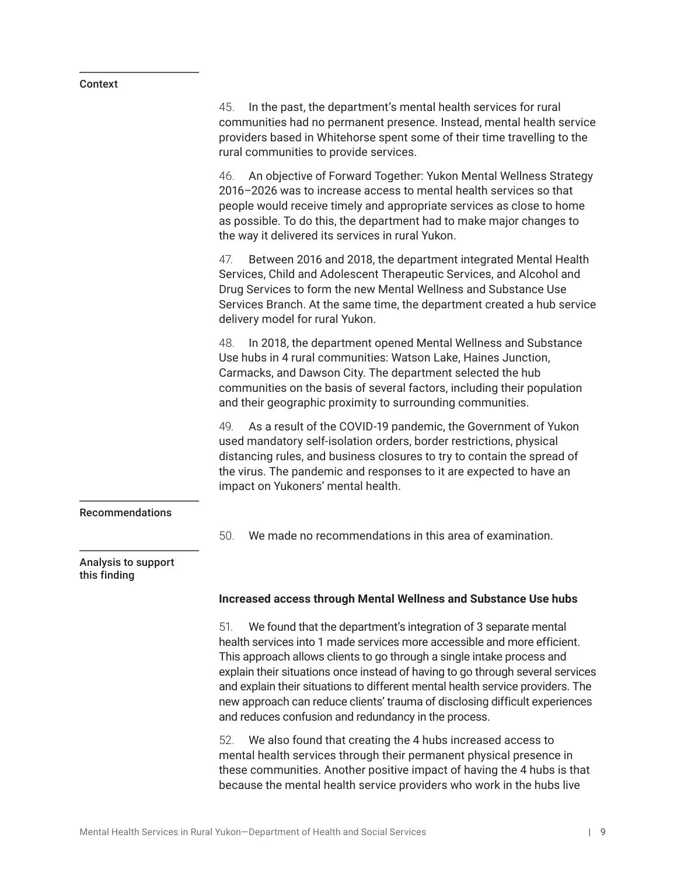#### <span id="page-16-0"></span>Context

45. In the past, the department's mental health services for rural communities had no permanent presence. Instead, mental health service providers based in Whitehorse spent some of their time travelling to the rural communities to provide services. 46. An objective of Forward Together: Yukon Mental Wellness Strategy 2016–2026 was to increase access to mental health services so that people would receive timely and appropriate services as close to home as possible. To do this, the department had to make major changes to the way it delivered its services in rural Yukon. 47. Between 2016 and 2018, the department integrated Mental Health Services, Child and Adolescent Therapeutic Services, and Alcohol and Drug Services to form the new Mental Wellness and Substance Use Services Branch. At the same time, the department created a hub service delivery model for rural Yukon. 48. In 2018, the department opened Mental Wellness and Substance Use hubs in 4 rural communities: Watson Lake, Haines Junction, Carmacks, and Dawson City. The department selected the hub communities on the basis of several factors, including their population and their geographic proximity to surrounding communities. 49. As a result of the COVID-19 pandemic, the Government of Yukon used mandatory self-isolation orders, border restrictions, physical distancing rules, and business closures to try to contain the spread of the virus. The pandemic and responses to it are expected to have an impact on Yukoners' mental health. Recommendations 50. We made no recommendations in this area of examination. Analysis to support this finding **Increased access through Mental Wellness and Substance Use hubs**  51. We found that the department's integration of 3 separate mental health services into 1 made services more accessible and more efficient. This approach allows clients to go through a single intake process and explain their situations once instead of having to go through several services and explain their situations to different mental health service providers. The new approach can reduce clients' trauma of disclosing difficult experiences and reduces confusion and redundancy in the process. 52. We also found that creating the 4 hubs increased access to mental health services through their permanent physical presence in these communities. Another positive impact of having the 4 hubs is that because the mental health service providers who work in the hubs live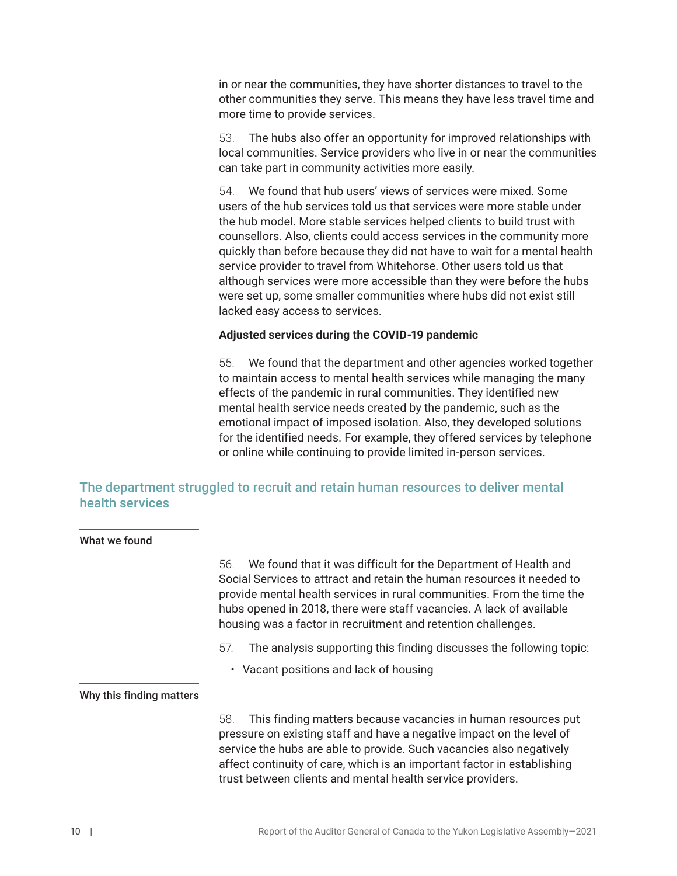<span id="page-17-0"></span>in or near the communities, they have shorter distances to travel to the other communities they serve. This means they have less travel time and more time to provide services.

53. The hubs also offer an opportunity for improved relationships with local communities. Service providers who live in or near the communities can take part in community activities more easily.

54. We found that hub users' views of services were mixed. Some users of the hub services told us that services were more stable under the hub model. More stable services helped clients to build trust with counsellors. Also, clients could access services in the community more quickly than before because they did not have to wait for a mental health service provider to travel from Whitehorse. Other users told us that although services were more accessible than they were before the hubs were set up, some smaller communities where hubs did not exist still lacked easy access to services.

### **Adjusted services during the COVID-19 pandemic**

55. We found that the department and other agencies worked together to maintain access to mental health services while managing the many effects of the pandemic in rural communities. They identified new mental health service needs created by the pandemic, such as the emotional impact of imposed isolation. Also, they developed solutions for the identified needs. For example, they offered services by telephone or online while continuing to provide limited in-person services.

## The department struggled to recruit and retain human resources to deliver mental health services

| What we found            |                                                                                                                                                                                                                                                                                                                                                                     |
|--------------------------|---------------------------------------------------------------------------------------------------------------------------------------------------------------------------------------------------------------------------------------------------------------------------------------------------------------------------------------------------------------------|
|                          | We found that it was difficult for the Department of Health and<br>56.<br>Social Services to attract and retain the human resources it needed to<br>provide mental health services in rural communities. From the time the<br>hubs opened in 2018, there were staff vacancies. A lack of available<br>housing was a factor in recruitment and retention challenges. |
|                          | The analysis supporting this finding discusses the following topic:<br>57.                                                                                                                                                                                                                                                                                          |
|                          | • Vacant positions and lack of housing                                                                                                                                                                                                                                                                                                                              |
| Why this finding matters |                                                                                                                                                                                                                                                                                                                                                                     |
|                          | This finding matters because vacancies in human resources put<br>58.<br>pressure on existing staff and have a negative impact on the level of<br>service the hubs are able to provide. Such vacancies also negatively<br>affect continuity of care, which is an important factor in establishing<br>trust between clients and mental health service providers.      |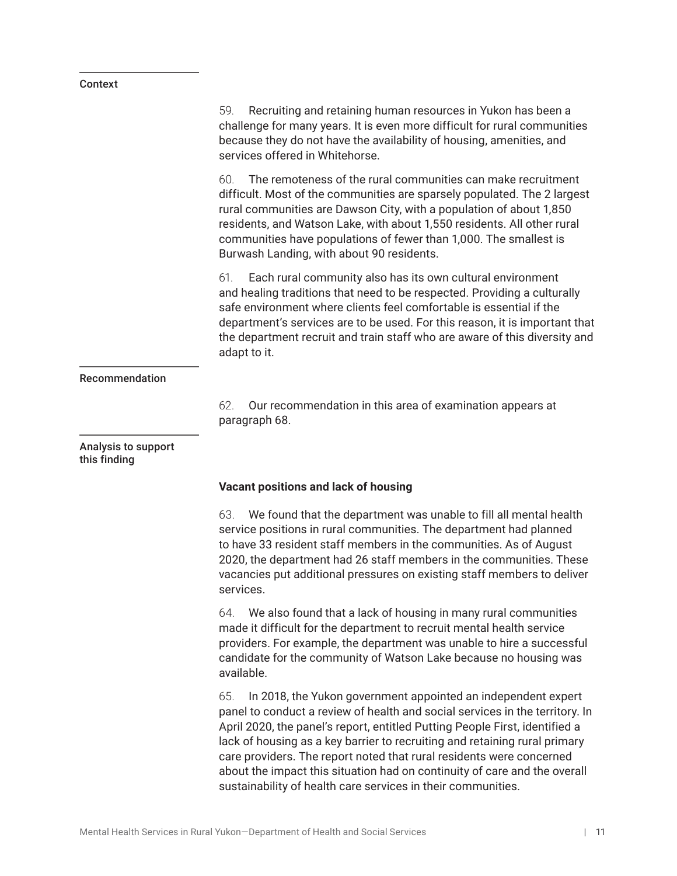#### <span id="page-18-0"></span>Context

59. Recruiting and retaining human resources in Yukon has been a challenge for many years. It is even more difficult for rural communities because they do not have the availability of housing, amenities, and services offered in Whitehorse. 60. The remoteness of the rural communities can make recruitment difficult. Most of the communities are sparsely populated. The 2 largest rural communities are Dawson City, with a population of about 1,850 residents, and Watson Lake, with about 1,550 residents. All other rural communities have populations of fewer than 1,000. The smallest is Burwash Landing, with about 90 residents. 61. Each rural community also has its own cultural environment and healing traditions that need to be respected. Providing a culturally safe environment where clients feel comfortable is essential if the department's services are to be used. For this reason, it is important that the department recruit and train staff who are aware of this diversity and adapt to it. Recommendation 62. Our recommendation in this area of examination appears at paragraph 68. Analysis to support this finding **Vacant positions and lack of housing** 63. We found that the department was unable to fill all mental health service positions in rural communities. The department had planned to have 33 resident staff members in the communities. As of August 2020, the department had 26 staff members in the communities. These vacancies put additional pressures on existing staff members to deliver services. 64. We also found that a lack of housing in many rural communities made it difficult for the department to recruit mental health service providers. For example, the department was unable to hire a successful candidate for the community of Watson Lake because no housing was available. 65. In 2018, the Yukon government appointed an independent expert panel to conduct a review of health and social services in the territory. In April 2020, the panel's report, entitled Putting People First, identified a lack of housing as a key barrier to recruiting and retaining rural primary care providers. The report noted that rural residents were concerned about the impact this situation had on continuity of care and the overall

sustainability of health care services in their communities.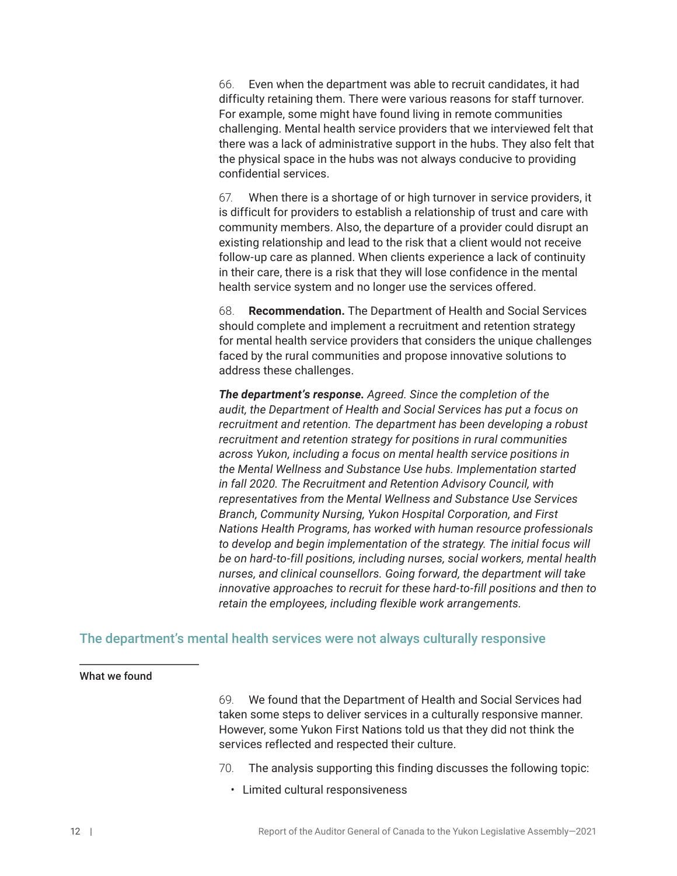<span id="page-19-0"></span>66. Even when the department was able to recruit candidates, it had difficulty retaining them. There were various reasons for staff turnover. For example, some might have found living in remote communities challenging. Mental health service providers that we interviewed felt that there was a lack of administrative support in the hubs. They also felt that the physical space in the hubs was not always conducive to providing confidential services.

67. When there is a shortage of or high turnover in service providers, it is difficult for providers to establish a relationship of trust and care with community members. Also, the departure of a provider could disrupt an existing relationship and lead to the risk that a client would not receive follow-up care as planned. When clients experience a lack of continuity in their care, there is a risk that they will lose confidence in the mental health service system and no longer use the services offered.

68. **Recommendation.** The Department of Health and Social Services should complete and implement a recruitment and retention strategy for mental health service providers that considers the unique challenges faced by the rural communities and propose innovative solutions to address these challenges.

*The department's response. Agreed. Since the completion of the audit, the Department of Health and Social Services has put a focus on recruitment and retention. The department has been developing a robust recruitment and retention strategy for positions in rural communities across Yukon, including a focus on mental health service positions in the Mental Wellness and Substance Use hubs. Implementation started in fall 2020. The Recruitment and Retention Advisory Council, with representatives from the Mental Wellness and Substance Use Services Branch, Community Nursing, Yukon Hospital Corporation, and First Nations Health Programs, has worked with human resource professionals*  to develop and begin implementation of the strategy. The initial focus will *be on hard-to-fill positions, including nurses, social workers, mental health nurses, and clinical counsellors. Going forward, the department will take innovative approaches to recruit for these hard-to-fill positions and then to retain the employees, including flexible work arrangements.*

## The department's mental health services were not always culturally responsive

#### What we found

69. We found that the Department of Health and Social Services had taken some steps to deliver services in a culturally responsive manner. However, some Yukon First Nations told us that they did not think the services reflected and respected their culture.

70. The analysis supporting this finding discusses the following topic:

• Limited cultural responsiveness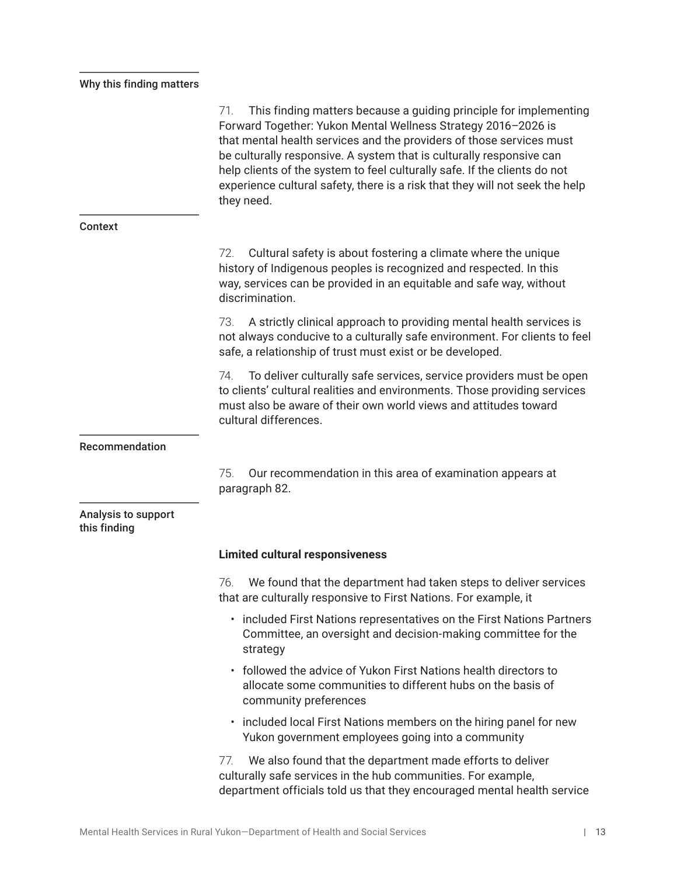## <span id="page-20-0"></span>Why this finding matters

|                                     | This finding matters because a guiding principle for implementing<br>71.<br>Forward Together: Yukon Mental Wellness Strategy 2016-2026 is<br>that mental health services and the providers of those services must<br>be culturally responsive. A system that is culturally responsive can<br>help clients of the system to feel culturally safe. If the clients do not<br>experience cultural safety, there is a risk that they will not seek the help<br>they need. |
|-------------------------------------|----------------------------------------------------------------------------------------------------------------------------------------------------------------------------------------------------------------------------------------------------------------------------------------------------------------------------------------------------------------------------------------------------------------------------------------------------------------------|
| Context                             |                                                                                                                                                                                                                                                                                                                                                                                                                                                                      |
|                                     | Cultural safety is about fostering a climate where the unique<br>72.<br>history of Indigenous peoples is recognized and respected. In this<br>way, services can be provided in an equitable and safe way, without<br>discrimination.                                                                                                                                                                                                                                 |
|                                     | A strictly clinical approach to providing mental health services is<br>73.<br>not always conducive to a culturally safe environment. For clients to feel<br>safe, a relationship of trust must exist or be developed.                                                                                                                                                                                                                                                |
|                                     | To deliver culturally safe services, service providers must be open<br>74.<br>to clients' cultural realities and environments. Those providing services<br>must also be aware of their own world views and attitudes toward<br>cultural differences.                                                                                                                                                                                                                 |
| Recommendation                      |                                                                                                                                                                                                                                                                                                                                                                                                                                                                      |
|                                     | 75.<br>Our recommendation in this area of examination appears at<br>paragraph 82.                                                                                                                                                                                                                                                                                                                                                                                    |
| Analysis to support<br>this finding |                                                                                                                                                                                                                                                                                                                                                                                                                                                                      |
|                                     | <b>Limited cultural responsiveness</b>                                                                                                                                                                                                                                                                                                                                                                                                                               |
|                                     | We found that the department had taken steps to deliver services<br>76.<br>that are culturally responsive to First Nations. For example, it                                                                                                                                                                                                                                                                                                                          |
|                                     | • included First Nations representatives on the First Nations Partners<br>Committee, an oversight and decision-making committee for the<br>strategy                                                                                                                                                                                                                                                                                                                  |
|                                     | • followed the advice of Yukon First Nations health directors to<br>allocate some communities to different hubs on the basis of<br>community preferences                                                                                                                                                                                                                                                                                                             |
|                                     | included local First Nations members on the hiring panel for new<br>Yukon government employees going into a community                                                                                                                                                                                                                                                                                                                                                |
|                                     | We also found that the department made efforts to deliver<br>77.<br>culturally safe services in the hub communities. For example,<br>department officials told us that they encouraged mental health service                                                                                                                                                                                                                                                         |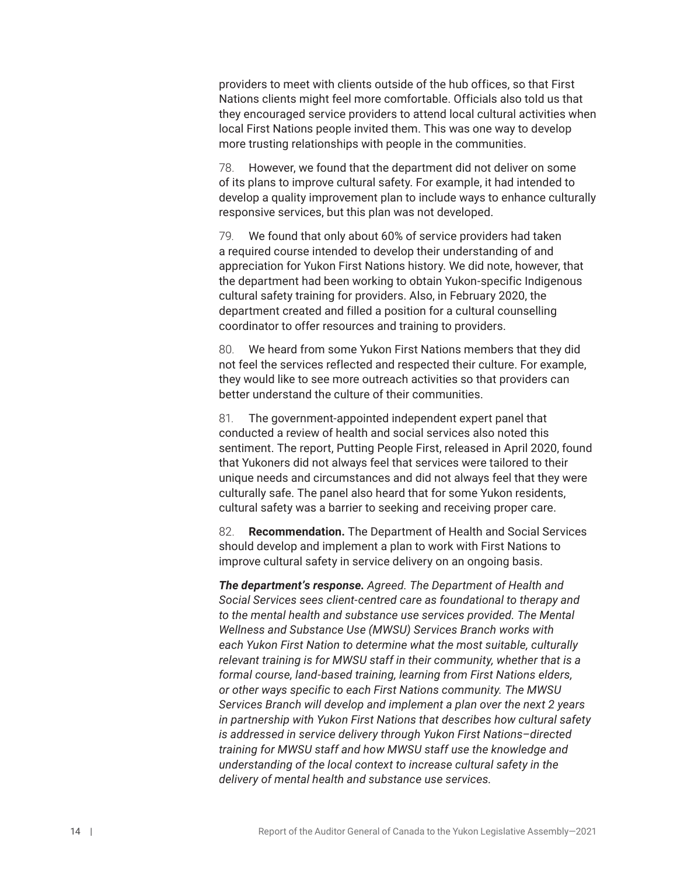providers to meet with clients outside of the hub offices, so that First Nations clients might feel more comfortable. Officials also told us that they encouraged service providers to attend local cultural activities when local First Nations people invited them. This was one way to develop more trusting relationships with people in the communities.

78. However, we found that the department did not deliver on some of its plans to improve cultural safety. For example, it had intended to develop a quality improvement plan to include ways to enhance culturally responsive services, but this plan was not developed.

79. We found that only about 60% of service providers had taken a required course intended to develop their understanding of and appreciation for Yukon First Nations history. We did note, however, that the department had been working to obtain Yukon-specific Indigenous cultural safety training for providers. Also, in February 2020, the department created and filled a position for a cultural counselling coordinator to offer resources and training to providers.

80. We heard from some Yukon First Nations members that they did not feel the services reflected and respected their culture. For example, they would like to see more outreach activities so that providers can better understand the culture of their communities.

81. The government-appointed independent expert panel that conducted a review of health and social services also noted this sentiment. The report, Putting People First, released in April 2020, found that Yukoners did not always feel that services were tailored to their unique needs and circumstances and did not always feel that they were culturally safe. The panel also heard that for some Yukon residents, cultural safety was a barrier to seeking and receiving proper care.

82. **Recommendation.** The Department of Health and Social Services should develop and implement a plan to work with First Nations to improve cultural safety in service delivery on an ongoing basis.

*The department's response. Agreed. The Department of Health and Social Services sees client-centred care as foundational to therapy and*  to the mental health and substance use services provided. The Mental *Wellness and Substance Use (MWSU) Services Branch works with each Yukon First Nation to determine what the most suitable, culturally relevant training is for MWSU staff in their community, whether that is a formal course, land-based training, learning from First Nations elders, or other ways specific to each First Nations community. The MWSU Services Branch will develop and implement a plan over the next 2 years in partnership with Yukon First Nations that describes how cultural safety is addressed in service delivery through Yukon First Nations–directed training for MWSU staff and how MWSU staff use the knowledge and understanding of the local context to increase cultural safety in the delivery of mental health and substance use services.*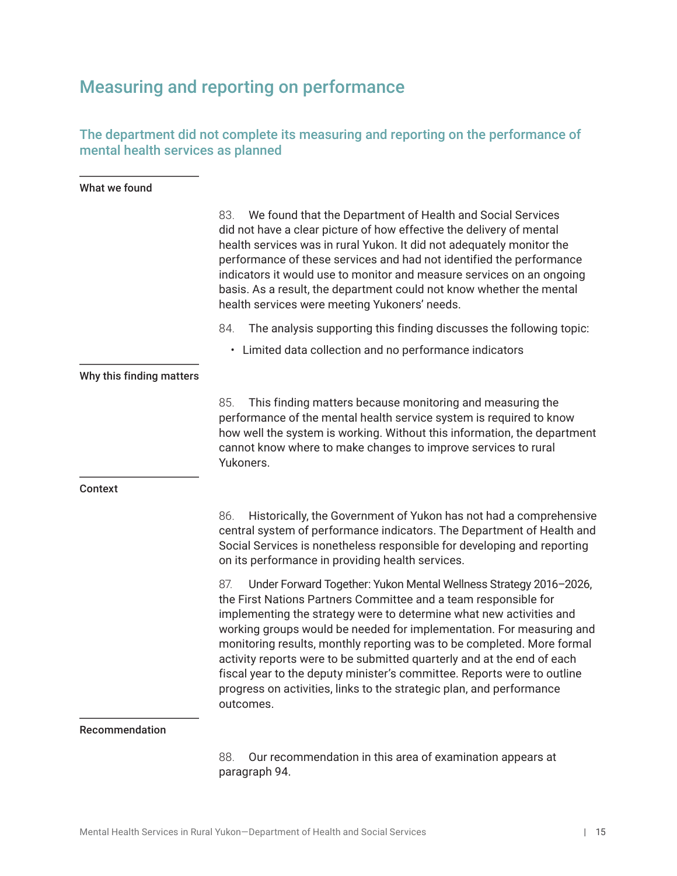## <span id="page-22-0"></span>Measuring and reporting on performance

## The department did not complete its measuring and reporting on the performance of mental health services as planned

### What we found

|                          | 83.<br>We found that the Department of Health and Social Services<br>did not have a clear picture of how effective the delivery of mental<br>health services was in rural Yukon. It did not adequately monitor the<br>performance of these services and had not identified the performance                                                                                                                                                                                                                                                                                                                     |  |
|--------------------------|----------------------------------------------------------------------------------------------------------------------------------------------------------------------------------------------------------------------------------------------------------------------------------------------------------------------------------------------------------------------------------------------------------------------------------------------------------------------------------------------------------------------------------------------------------------------------------------------------------------|--|
|                          | indicators it would use to monitor and measure services on an ongoing<br>basis. As a result, the department could not know whether the mental<br>health services were meeting Yukoners' needs.                                                                                                                                                                                                                                                                                                                                                                                                                 |  |
|                          | The analysis supporting this finding discusses the following topic:<br>84.                                                                                                                                                                                                                                                                                                                                                                                                                                                                                                                                     |  |
|                          | • Limited data collection and no performance indicators                                                                                                                                                                                                                                                                                                                                                                                                                                                                                                                                                        |  |
| Why this finding matters |                                                                                                                                                                                                                                                                                                                                                                                                                                                                                                                                                                                                                |  |
|                          | 85.<br>This finding matters because monitoring and measuring the<br>performance of the mental health service system is required to know<br>how well the system is working. Without this information, the department<br>cannot know where to make changes to improve services to rural<br>Yukoners.                                                                                                                                                                                                                                                                                                             |  |
| <b>Context</b>           |                                                                                                                                                                                                                                                                                                                                                                                                                                                                                                                                                                                                                |  |
|                          | 86.<br>Historically, the Government of Yukon has not had a comprehensive<br>central system of performance indicators. The Department of Health and<br>Social Services is nonetheless responsible for developing and reporting<br>on its performance in providing health services.                                                                                                                                                                                                                                                                                                                              |  |
|                          | Under Forward Together: Yukon Mental Wellness Strategy 2016-2026,<br>87.<br>the First Nations Partners Committee and a team responsible for<br>implementing the strategy were to determine what new activities and<br>working groups would be needed for implementation. For measuring and<br>monitoring results, monthly reporting was to be completed. More formal<br>activity reports were to be submitted quarterly and at the end of each<br>fiscal year to the deputy minister's committee. Reports were to outline<br>progress on activities, links to the strategic plan, and performance<br>outcomes. |  |
| Recommendation           |                                                                                                                                                                                                                                                                                                                                                                                                                                                                                                                                                                                                                |  |

### 88. Our recommendation in this area of examination appears at paragraph 94.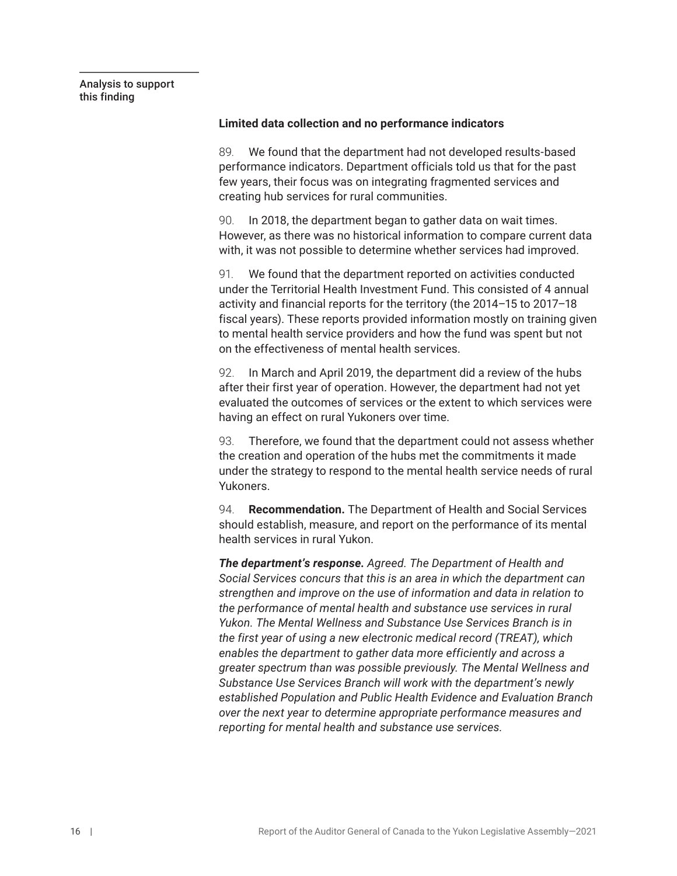<span id="page-23-0"></span>Analysis to support this finding

#### **Limited data collection and no performance indicators**

89. We found that the department had not developed results-based performance indicators. Department officials told us that for the past few years, their focus was on integrating fragmented services and creating hub services for rural communities.

90. In 2018, the department began to gather data on wait times. However, as there was no historical information to compare current data with, it was not possible to determine whether services had improved.

91. We found that the department reported on activities conducted under the Territorial Health Investment Fund. This consisted of 4 annual activity and financial reports for the territory (the 2014–15 to 2017–18 fiscal years). These reports provided information mostly on training given to mental health service providers and how the fund was spent but not on the effectiveness of mental health services.

92. In March and April 2019, the department did a review of the hubs after their first year of operation. However, the department had not yet evaluated the outcomes of services or the extent to which services were having an effect on rural Yukoners over time.

93. Therefore, we found that the department could not assess whether the creation and operation of the hubs met the commitments it made under the strategy to respond to the mental health service needs of rural Yukoners.

94. **Recommendation.** The Department of Health and Social Services should establish, measure, and report on the performance of its mental health services in rural Yukon.

*The department's response. Agreed. The Department of Health and Social Services concurs that this is an area in which the department can strengthen and improve on the use of information and data in relation to the performance of mental health and substance use services in rural Yukon. The Mental Wellness and Substance Use Services Branch is in the first year of using a new electronic medical record (TREAT), which enables the department to gather data more efficiently and across a greater spectrum than was possible previously. The Mental Wellness and Substance Use Services Branch will work with the department's newly established Population and Public Health Evidence and Evaluation Branch over the next year to determine appropriate performance measures and reporting for mental health and substance use services.*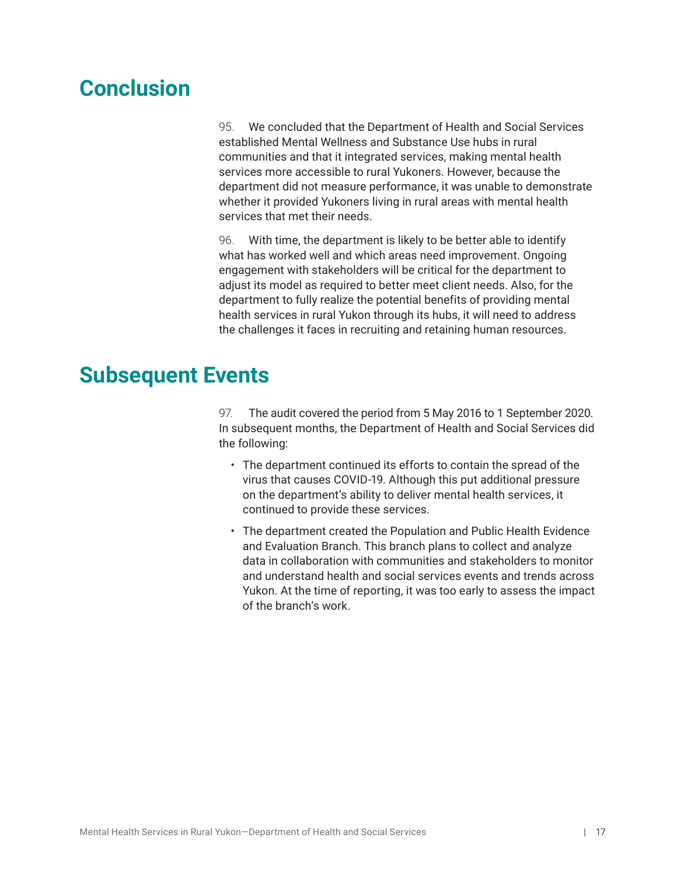## <span id="page-24-0"></span>**Conclusion**

95. We concluded that the Department of Health and Social Services established Mental Wellness and Substance Use hubs in rural communities and that it integrated services, making mental health services more accessible to rural Yukoners. However, because the department did not measure performance, it was unable to demonstrate whether it provided Yukoners living in rural areas with mental health services that met their needs.

96. With time, the department is likely to be better able to identify what has worked well and which areas need improvement. Ongoing engagement with stakeholders will be critical for the department to adjust its model as required to better meet client needs. Also, for the department to fully realize the potential benefits of providing mental health services in rural Yukon through its hubs, it will need to address the challenges it faces in recruiting and retaining human resources.

## **Subsequent Events**

97. The audit covered the period from 5 May 2016 to 1 September 2020. In subsequent months, the Department of Health and Social Services did the following:

- The department continued its efforts to contain the spread of the virus that causes COVID-19. Although this put additional pressure on the department's ability to deliver mental health services, it continued to provide these services.
- The department created the Population and Public Health Evidence and Evaluation Branch. This branch plans to collect and analyze data in collaboration with communities and stakeholders to monitor and understand health and social services events and trends across Yukon. At the time of reporting, it was too early to assess the impact of the branch's work.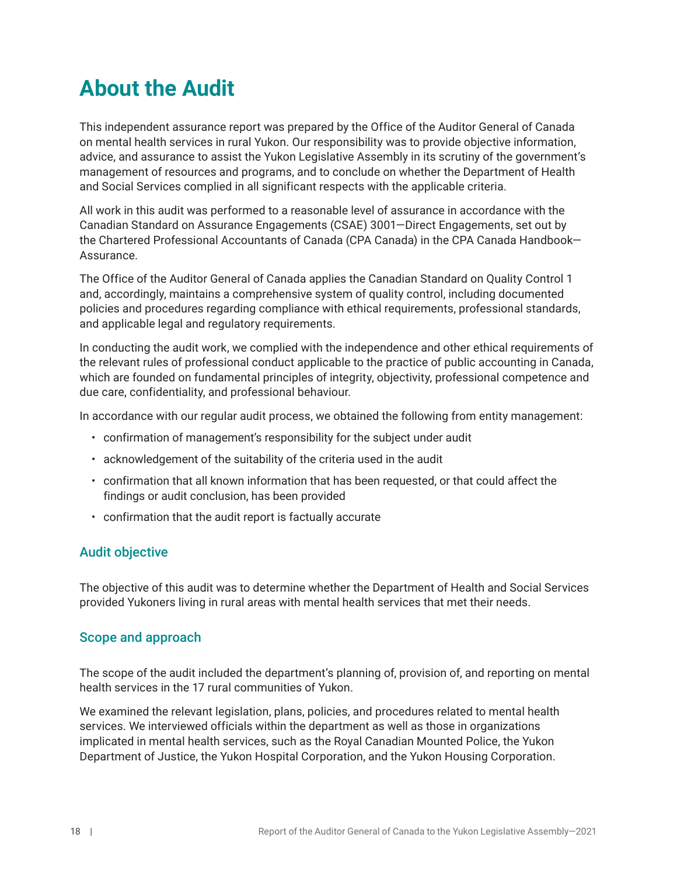# <span id="page-25-0"></span>**About the Audit**

This independent assurance report was prepared by the Office of the Auditor General of Canada on mental health services in rural Yukon. Our responsibility was to provide objective information, advice, and assurance to assist the Yukon Legislative Assembly in its scrutiny of the government's management of resources and programs, and to conclude on whether the Department of Health and Social Services complied in all significant respects with the applicable criteria.

All work in this audit was performed to a reasonable level of assurance in accordance with the Canadian Standard on Assurance Engagements (CSAE) 3001—Direct Engagements, set out by the Chartered Professional Accountants of Canada (CPA Canada) in the CPA Canada Handbook— Assurance.

The Office of the Auditor General of Canada applies the Canadian Standard on Quality Control 1 and, accordingly, maintains a comprehensive system of quality control, including documented policies and procedures regarding compliance with ethical requirements, professional standards, and applicable legal and regulatory requirements.

In conducting the audit work, we complied with the independence and other ethical requirements of the relevant rules of professional conduct applicable to the practice of public accounting in Canada, which are founded on fundamental principles of integrity, objectivity, professional competence and due care, confidentiality, and professional behaviour.

In accordance with our regular audit process, we obtained the following from entity management:

- confirmation of management's responsibility for the subject under audit
- acknowledgement of the suitability of the criteria used in the audit
- confirmation that all known information that has been requested, or that could affect the findings or audit conclusion, has been provided
- confirmation that the audit report is factually accurate

## Audit objective

The objective of this audit was to determine whether the Department of Health and Social Services provided Yukoners living in rural areas with mental health services that met their needs.

## Scope and approach

The scope of the audit included the department's planning of, provision of, and reporting on mental health services in the 17 rural communities of Yukon.

We examined the relevant legislation, plans, policies, and procedures related to mental health services. We interviewed officials within the department as well as those in organizations implicated in mental health services, such as the Royal Canadian Mounted Police, the Yukon Department of Justice, the Yukon Hospital Corporation, and the Yukon Housing Corporation.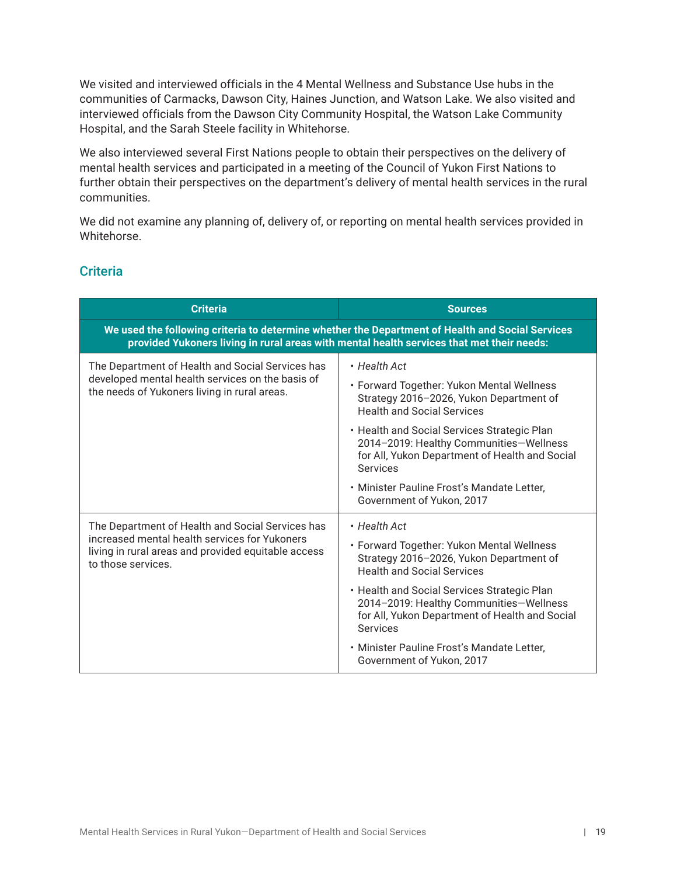We visited and interviewed officials in the 4 Mental Wellness and Substance Use hubs in the communities of Carmacks, Dawson City, Haines Junction, and Watson Lake. We also visited and interviewed officials from the Dawson City Community Hospital, the Watson Lake Community Hospital, and the Sarah Steele facility in Whitehorse.

We also interviewed several First Nations people to obtain their perspectives on the delivery of mental health services and participated in a meeting of the Council of Yukon First Nations to further obtain their perspectives on the department's delivery of mental health services in the rural communities.

We did not examine any planning of, delivery of, or reporting on mental health services provided in Whitehorse.

### **Criteria**

| <b>Criteria</b>                                                                                                                                                                               | <b>Sources</b>                                                                                                                                                                                                                                                                                                                                                                      |  |
|-----------------------------------------------------------------------------------------------------------------------------------------------------------------------------------------------|-------------------------------------------------------------------------------------------------------------------------------------------------------------------------------------------------------------------------------------------------------------------------------------------------------------------------------------------------------------------------------------|--|
| We used the following criteria to determine whether the Department of Health and Social Services<br>provided Yukoners living in rural areas with mental health services that met their needs: |                                                                                                                                                                                                                                                                                                                                                                                     |  |
| The Department of Health and Social Services has<br>developed mental health services on the basis of<br>the needs of Yukoners living in rural areas.                                          | • Health Act<br>• Forward Together: Yukon Mental Wellness<br>Strategy 2016-2026, Yukon Department of<br><b>Health and Social Services</b><br>• Health and Social Services Strategic Plan<br>2014-2019: Healthy Communities-Wellness<br>for All, Yukon Department of Health and Social<br>Services<br>• Minister Pauline Frost's Mandate Letter,<br>Government of Yukon, 2017        |  |
| The Department of Health and Social Services has<br>increased mental health services for Yukoners<br>living in rural areas and provided equitable access<br>to those services.                | • Health Act<br>• Forward Together: Yukon Mental Wellness<br>Strategy 2016-2026, Yukon Department of<br><b>Health and Social Services</b><br>• Health and Social Services Strategic Plan<br>2014-2019: Healthy Communities-Wellness<br>for All, Yukon Department of Health and Social<br><b>Services</b><br>• Minister Pauline Frost's Mandate Letter,<br>Government of Yukon, 2017 |  |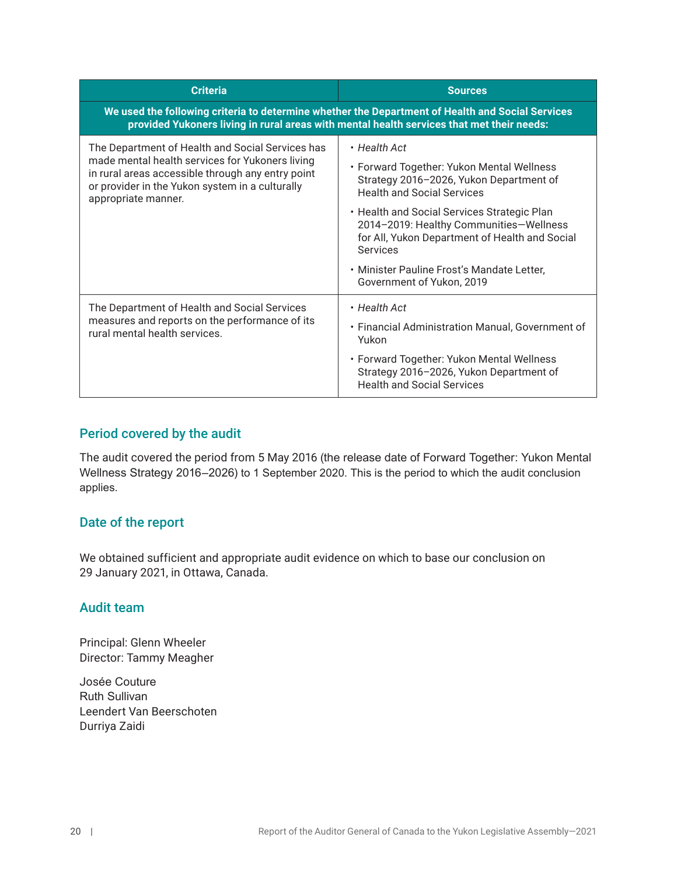| <b>Criteria</b>                                                                                                                                                                                                                    | <b>Sources</b>                                                                                                                                       |  |  |
|------------------------------------------------------------------------------------------------------------------------------------------------------------------------------------------------------------------------------------|------------------------------------------------------------------------------------------------------------------------------------------------------|--|--|
| We used the following criteria to determine whether the Department of Health and Social Services<br>provided Yukoners living in rural areas with mental health services that met their needs:                                      |                                                                                                                                                      |  |  |
| The Department of Health and Social Services has<br>made mental health services for Yukoners living<br>in rural areas accessible through any entry point<br>or provider in the Yukon system in a culturally<br>appropriate manner. | $\cdot$ Health Act<br>• Forward Together: Yukon Mental Wellness<br>Strategy 2016-2026, Yukon Department of                                           |  |  |
|                                                                                                                                                                                                                                    | <b>Health and Social Services</b>                                                                                                                    |  |  |
|                                                                                                                                                                                                                                    | • Health and Social Services Strategic Plan<br>2014-2019: Healthy Communities-Wellness<br>for All, Yukon Department of Health and Social<br>Services |  |  |
|                                                                                                                                                                                                                                    | • Minister Pauline Frost's Mandate Letter,<br>Government of Yukon, 2019                                                                              |  |  |
| The Department of Health and Social Services<br>measures and reports on the performance of its<br>rural mental health services.                                                                                                    | $\cdot$ Health Act                                                                                                                                   |  |  |
|                                                                                                                                                                                                                                    | • Financial Administration Manual, Government of<br>Yukon                                                                                            |  |  |
|                                                                                                                                                                                                                                    | • Forward Together: Yukon Mental Wellness<br>Strategy 2016-2026, Yukon Department of<br><b>Health and Social Services</b>                            |  |  |

## Period covered by the audit

The audit covered the period from 5 May 2016 (the release date of Forward Together: Yukon Mental Wellness Strategy 2016–2026) to 1 September 2020. This is the period to which the audit conclusion applies.

## Date of the report

We obtained sufficient and appropriate audit evidence on which to base our conclusion on 29 January 2021, in Ottawa, Canada.

## Audit team

Principal: Glenn Wheeler Director: Tammy Meagher

Josée Couture Ruth Sullivan Leendert Van Beerschoten Durriya Zaidi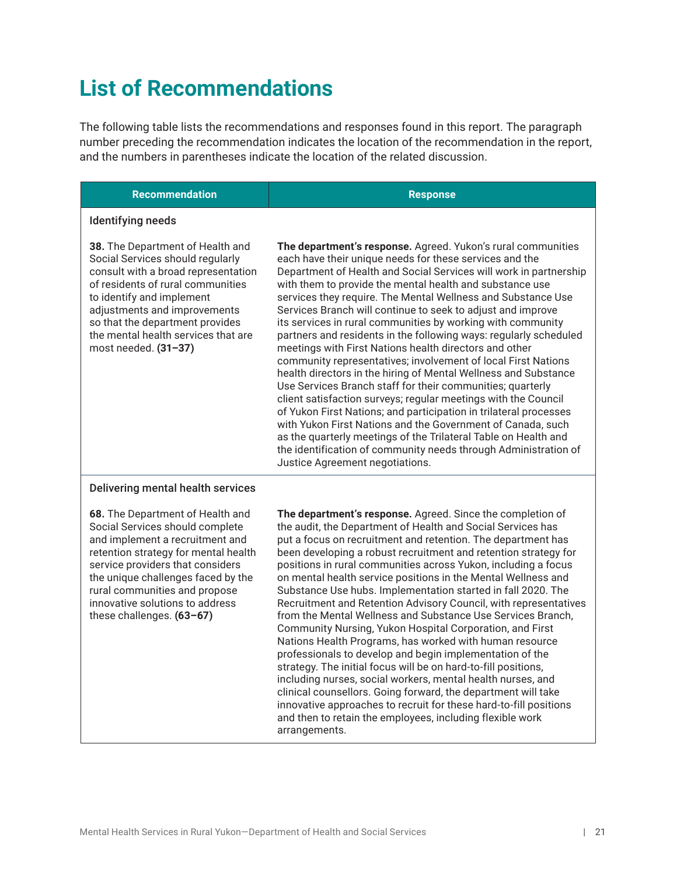# <span id="page-28-0"></span>**List of Recommendations**

The following table lists the recommendations and responses found in this report. The paragraph number preceding the recommendation indicates the location of the recommendation in the report, and the numbers in parentheses indicate the location of the related discussion.

#### **Recommendation Response**

#### Identifying needs

**38.** The Department of Health and Social Services should regularly consult with a broad representation of residents of rural communities to identify and implement adjustments and improvements so that the department provides the mental health services that are most needed. **(31–37)**

**The department's response.** Agreed. Yukon's rural communities each have their unique needs for these services and the Department of Health and Social Services will work in partnership with them to provide the mental health and substance use services they require. The Mental Wellness and Substance Use Services Branch will continue to seek to adjust and improve its services in rural communities by working with community partners and residents in the following ways: regularly scheduled meetings with First Nations health directors and other community representatives; involvement of local First Nations health directors in the hiring of Mental Wellness and Substance Use Services Branch staff for their communities; quarterly client satisfaction surveys; regular meetings with the Council of Yukon First Nations; and participation in trilateral processes with Yukon First Nations and the Government of Canada, such as the quarterly meetings of the Trilateral Table on Health and the identification of community needs through Administration of Justice Agreement negotiations.

#### Delivering mental health services

**68.** The Department of Health and Social Services should complete and implement a recruitment and retention strategy for mental health service providers that considers the unique challenges faced by the rural communities and propose innovative solutions to address these challenges. **(63–67)**

**The department's response.** Agreed. Since the completion of the audit, the Department of Health and Social Services has put a focus on recruitment and retention. The department has been developing a robust recruitment and retention strategy for positions in rural communities across Yukon, including a focus on mental health service positions in the Mental Wellness and Substance Use hubs. Implementation started in fall 2020. The Recruitment and Retention Advisory Council, with representatives from the Mental Wellness and Substance Use Services Branch, Community Nursing, Yukon Hospital Corporation, and First Nations Health Programs, has worked with human resource professionals to develop and begin implementation of the strategy. The initial focus will be on hard-to-fill positions, including nurses, social workers, mental health nurses, and clinical counsellors. Going forward, the department will take innovative approaches to recruit for these hard-to-fill positions and then to retain the employees, including flexible work arrangements.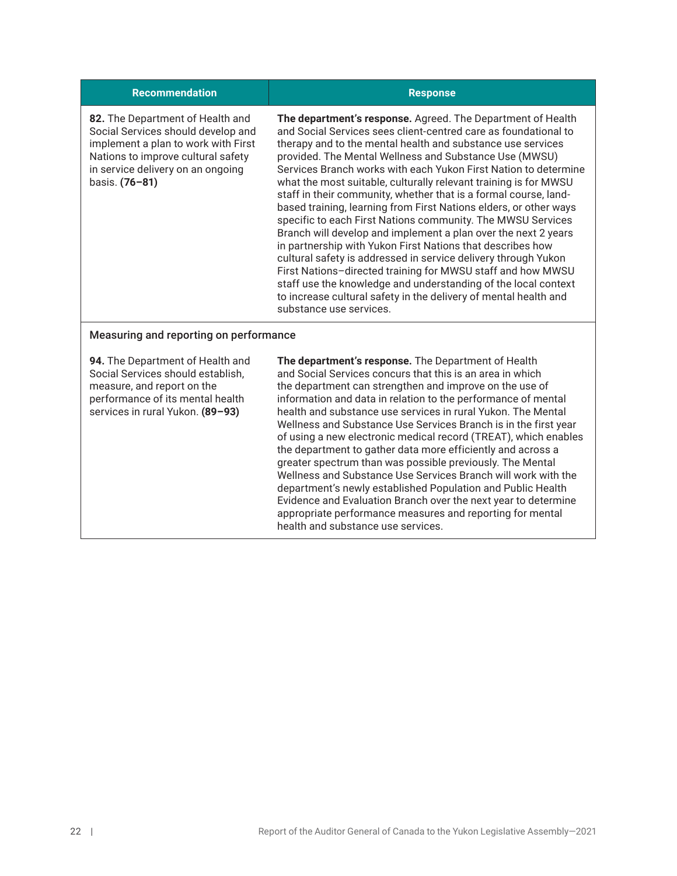#### **Recommendation Response 82.** The Department of Health and Social Services should develop and implement a plan to work with First Nations to improve cultural safety in service delivery on an ongoing basis. **(76–81) The department's response.** Agreed. The Department of Health and Social Services sees client-centred care as foundational to therapy and to the mental health and substance use services provided. The Mental Wellness and Substance Use (MWSU) Services Branch works with each Yukon First Nation to determine what the most suitable, culturally relevant training is for MWSU staff in their community, whether that is a formal course, landbased training, learning from First Nations elders, or other ways specific to each First Nations community. The MWSU Services Branch will develop and implement a plan over the next 2 years in partnership with Yukon First Nations that describes how cultural safety is addressed in service delivery through Yukon

First Nations–directed training for MWSU staff and how MWSU staff use the knowledge and understanding of the local context to increase cultural safety in the delivery of mental health and substance use services.

### Measuring and reporting on performance

**94.** The Department of Health and Social Services should establish, measure, and report on the performance of its mental health services in rural Yukon. **(89–93)**

**The department's response.** The Department of Health and Social Services concurs that this is an area in which the department can strengthen and improve on the use of information and data in relation to the performance of mental health and substance use services in rural Yukon. The Mental Wellness and Substance Use Services Branch is in the first year of using a new electronic medical record (TREAT), which enables the department to gather data more efficiently and across a greater spectrum than was possible previously. The Mental Wellness and Substance Use Services Branch will work with the department's newly established Population and Public Health Evidence and Evaluation Branch over the next year to determine appropriate performance measures and reporting for mental health and substance use services.